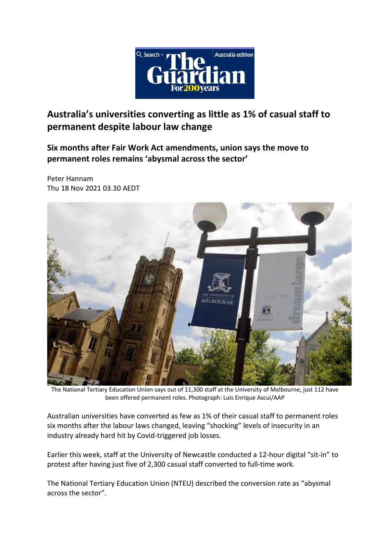

**Australia's universities converting as little as 1% of casual staff to permanent despite labour law change**

**Six months after Fair Work Act amendments, union says the move to permanent roles remains 'abysmal across the sector'**

Peter Hannam Thu 18 Nov 2021 03.30 AEDT



The National Tertiary Education Union says out of 11,300 staff at the University of Melbourne, just 112 have been offered permanent roles. Photograph: Luis Enrique Ascui/AAP

Australian universities have converted as few as 1% of their casual staff to permanent roles six months after the labour laws changed, leaving "shocking" levels of insecurity in an industry already hard hit by Covid-triggered job losses.

Earlier this week, staff at the University of Newcastle conducted a 12-hour digital "sit-in" to protest after having just five of 2,300 casual staff converted to full-time work.

The National Tertiary Education Union (NTEU) described the conversion rate as "abysmal across the sector".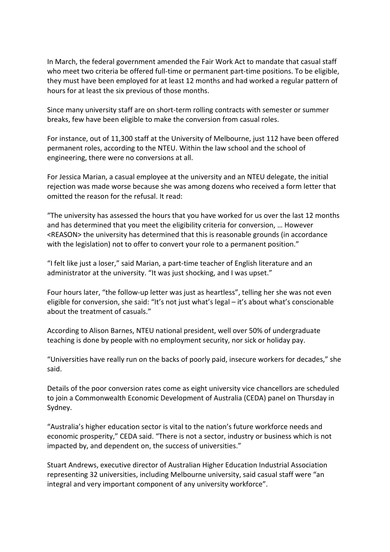In March, the federal government amended the Fair Work Act to mandate that casual staff who meet two criteria be offered full-time or permanent part-time positions. To be eligible, they must have been employed for at least 12 months and had worked a regular pattern of hours for at least the six previous of those months.

Since many university staff are on short-term rolling contracts with semester or summer breaks, few have been eligible to make the conversion from casual roles.

For instance, out of 11,300 staff at the University of Melbourne, just 112 have been offered permanent roles, according to the NTEU. Within the law school and the school of engineering, there were no conversions at all.

For Jessica Marian, a casual employee at the university and an NTEU delegate, the initial rejection was made worse because she was among dozens who received a form letter that omitted the reason for the refusal. It read:

"The university has assessed the hours that you have worked for us over the last 12 months and has determined that you meet the eligibility criteria for conversion, … However <REASON> the university has determined that this is reasonable grounds (in accordance with the legislation) not to offer to convert your role to a permanent position."

"I felt like just a loser," said Marian, a part-time teacher of English literature and an administrator at the university. "It was just shocking, and I was upset."

Four hours later, "the follow-up letter was just as heartless", telling her she was not even eligible for conversion, she said: "It's not just what's legal – it's about what's conscionable about the treatment of casuals."

According to Alison Barnes, NTEU national president, well over 50% of undergraduate teaching is done by people with no employment security, nor sick or holiday pay.

"Universities have really run on the backs of poorly paid, insecure workers for decades," she said.

Details of the poor conversion rates come as eight university vice chancellors are scheduled to join a Commonwealth Economic Development of Australia (CEDA) panel on Thursday in Sydney.

"Australia's higher education sector is vital to the nation's future workforce needs and economic prosperity," CEDA said. "There is not a sector, industry or business which is not impacted by, and dependent on, the success of universities."

Stuart Andrews, executive director of Australian Higher Education Industrial Association representing 32 universities, including Melbourne university, said casual staff were "an integral and very important component of any university workforce".